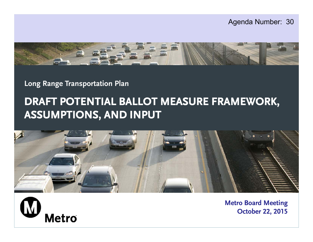



**Long Range Transportation Plan**

## **DRAFT POTENTIAL BALLOT MEASURE FRAMEWORK, ASSUMPTIONS, AND INPUT**





**Metro Board Meeting October 22, 2015**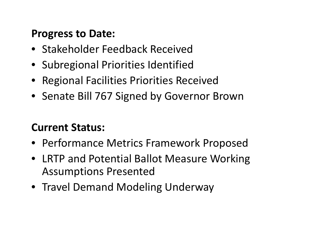### **Progress to Date:**

- Stakeholder Feedback Received
- Subregional Priorities Identified
- Regional Facilities Priorities Received
- Senate Bill 767 Signed by Governor Brown

## **Current Status:**

- Performance Metrics Framework Proposed
- LRTP and Potential Ballot Measure Working Assumptions Presented
- Travel Demand Modeling Underway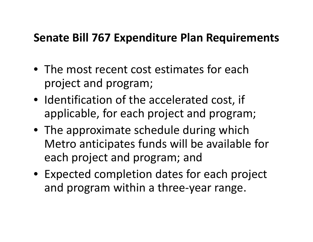# **Senate Bill 767 Expenditure Plan Requirements**

- The most recent cost estimates for eachproject and program;
- Identification of the accelerated cost, if applicable, for each project and program;
- The approximate schedule during which Metro anticipates funds will be available for each project and program; and
- Expected completion dates for each project and program within <sup>a</sup> three‐year range.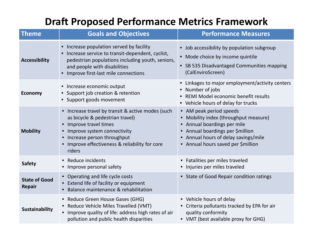### **Draft Proposed Performance Metrics Framework**

| <b>Theme</b>                          | <b>Goals and Objectives</b>                                                                                                                                                                                                         | <b>Performance Measures</b>                                                                                                                                                                                                  |  |  |  |  |  |  |
|---------------------------------------|-------------------------------------------------------------------------------------------------------------------------------------------------------------------------------------------------------------------------------------|------------------------------------------------------------------------------------------------------------------------------------------------------------------------------------------------------------------------------|--|--|--|--|--|--|
| <b>Accessibility</b>                  | Increase population served by facility<br>Increase service to transit-dependent, cyclist,<br>pedestrian populations including youth, seniors,<br>and people with disabilities<br>Improve first-last mile connections                | Job accessibility by population subgroup<br>• Mode choice by income quintile<br>• SB 535 Disadvantaged Communities mapping<br>(CalEnviroScreen)                                                                              |  |  |  |  |  |  |
| <b>Economy</b>                        | Increase economic output<br>$\bullet$<br>Support job creation & retention<br>$\bullet$<br>• Support goods movement                                                                                                                  | • Linkages to major employment/activity centers<br>Number of jobs<br>• REMI Model economic benefit results<br>• Vehicle hours of delay for trucks                                                                            |  |  |  |  |  |  |
| <b>Mobility</b>                       | • Increase travel by transit & active modes (such<br>as bicycle & pedestrian travel)<br>Improve travel times<br>Improve system connectivity<br>Increase person throughput<br>Improve effectiveness & reliability for core<br>riders | • AM peak period speeds<br>Mobility index (throughput measure)<br>$\bullet$<br>• Annual boardings per mile<br>• Annual boardings per \$million<br>• Annual hours of delay savings/mile<br>• Annual hours saved per \$million |  |  |  |  |  |  |
| <b>Safety</b>                         | • Reduce incidents<br>• Improve personal safety                                                                                                                                                                                     | • Fatalities per miles traveled<br>• Injuries per miles traveled                                                                                                                                                             |  |  |  |  |  |  |
| <b>State of Good</b><br><b>Repair</b> | • Operating and life cycle costs<br>• Extend life of facility or equipment<br>Balance maintenance & rehabilitation                                                                                                                  | • State of Good Repair condition ratings                                                                                                                                                                                     |  |  |  |  |  |  |
| <b>Sustainability</b>                 | • Reduce Green House Gases (GHG)<br>Reduce Vehicle Miles Travelled (VMT)<br>Improve quality of life: address high rates of air<br>pollution and public health disparities                                                           | • Vehicle hours of delay<br>• Criteria pollutants tracked by EPA for air<br>quality conformity<br>• VMT (best available proxy for GHG)                                                                                       |  |  |  |  |  |  |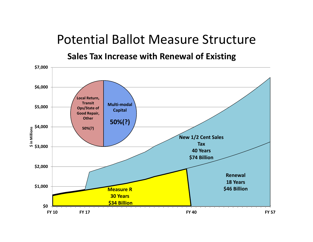# Potential Ballot Measure Structure

**Sales Tax Increase with Renewal of Existing**

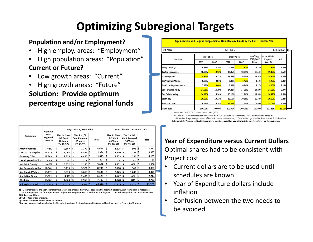# **Optimizing Subregional Targets**

#### **Population and/or Employment?**

- •High employ. areas: "Employment"
- •High population areas: "Population"

#### **Current or Future?**

- •Low growth areas: "Current"
- •High growth areas: "Future"

#### **Solution: Provide optimum percentage using regional funds**

| 40 Years                        |            | \$4.5 billion |            |         |                       |                                 |        |  |
|---------------------------------|------------|---------------|------------|---------|-----------------------|---------------------------------|--------|--|
| Subregion                       | Population |               | Employment |         | Pop/Emp,<br>2017/2047 | <b>Optimal Sub-</b><br>Regional | Δ%     |  |
|                                 | 2017       | 2047          | 2017       | 2047    | Blend                 | Share %                         |        |  |
| Arroyo Verdugo                  | 4.99%      | 4.79%         | 7.54%      | 7.82%   | 6.28%                 | 7.82%                           | 1.53%  |  |
| <b>Central Los Angeles</b>      | 18.98%     | 19.12%        | 18.05%     | 18.01%  | 18.54%                | 19.12%                          | 0.58%  |  |
| <b>Gateway Cities</b>           | 19.84%     | 19.27%        | 16.63%     | 16.15%  | 17.97%                | 19.84%                          | 1.87%  |  |
| Las Virgenes/Malibu             | 0.85%      | 0.81%         | 1.38%      | 1.42%   | 1.12%                 | 1.42%                           | 0.30%  |  |
| <b>North Los Angeles County</b> | 7.42%      | 9.40%         | 5.42%      | 6.84%   | 7.27%                 | 9.40%                           | 2.13%  |  |
| San Fernando Valley             | 14.66%     | 14.19%        | 14.21%     | 14.09%  | 14.29%                | 14.66%                          | 0.37%  |  |
| San Gabriel Valley              | 16.17%     | 16.14%        | 13.10%     | 12.76%  | 14.54%                | 16.17%                          | 1.63%  |  |
| South Bay                       | 10.62%     | 10.13%        | 10.60%     | 10.16%  | 10.38%                | 10.62%                          | 0.24%  |  |
| <b>Westside Cities</b>          | 6.46%      | 6.14%         | 13.06%     | 12.75%  | 9.60%                 | 13.06%                          | 3.46%  |  |
| <b>Grand Total</b>              | 100.00%    | 100.00%       | 100.00%    | 100.00% | 100.00%               | 112.11%                         | 12.11% |  |

· Source Data: SCAG RTP12 Socio-economic Data (SED)

. 2017 and 2047 year data interpolated/extrapolated from SCAG 2008 and 2035 Projections. Back-up data available on request . In this version, Arroyo Verdugo consists of Burbank, La Crescenta-Montrose, La Canada Flintridge, Glendale, Pasadena and South Pasadena.

That means both Pasadena and South Pasadena have been taken out of San Gabriel Valley to be included in Arroyo Verdugo subregion.

|                            | Optimal<br>Sub-<br>regional<br>Share % | Pay-Go (YOE, No Bonds) |                                                             |     |                                                                 |  | De-escalated to Current 2014 \$ |     |                                                      |   |                                                                  |     |              |
|----------------------------|----------------------------------------|------------------------|-------------------------------------------------------------|-----|-----------------------------------------------------------------|--|---------------------------------|-----|------------------------------------------------------|---|------------------------------------------------------------------|-----|--------------|
| Subregion                  |                                        |                        | Tier 1 - New<br>$1/2$ Cent<br><b>40 Years</b><br>(FY 18-57) |     | Tier $2 - 1/2$<br><b>Cent Renewal</b><br>18 Years<br>(FY 39-57) |  | <b>Total</b>                    |     | Tier 1 - New<br>$1/2$ Cent<br>40 Years<br>(FY 18-57) |   | Tier $2 - 1/2$<br><b>Cent Renewall</b><br>18 Years<br>(FY 39-57) |     | <b>Total</b> |
| <b>Arroyo Verdugo</b>      | 7.82%                                  | s                      | 2,889                                                       | S   | $1,772$ \$                                                      |  | 4,661                           | S   | 1,125                                                | S | 506                                                              | ١S  | 1,631        |
| <b>Central Los Angeles</b> | 19.12%                                 | I\$                    | 7,062                                                       | \$  | $4,332$ $\sqrt{5}$                                              |  | 11,394                          | '\$ | $2,750$ $\sqrt{5}$                                   |   | $1,237$ $\frac{1}{5}$                                            |     | 3,987        |
| <b>Gateway Cities</b>      | 19.84%                                 | IS                     | 7,328                                                       | I\$ | $4,495$ $\sqrt{5}$                                              |  | 11,823                          | I\$ | $2,853$ $\sqrt{5}$                                   |   | $1,284$   \$                                                     |     | 4,137        |
| Las Virgenes/Malibu        | 1.42%                                  | Ś                      | 525                                                         | I\$ | 322   \$                                                        |  | 842                             | S   | $204 \, \text{S}$                                    |   | 92                                                               | '\$ | 296          |
| North LA County            | 9.40%                                  | I\$                    | 3,472                                                       | I\$ | $2,130$  \$                                                     |  | 5,602                           | S   | $1,352$   \$                                         |   | 608                                                              | ١\$ | 1,960        |
| San Fernando Valley        | 14.66%                                 | I\$                    | 5,415                                                       | Ŝ   | $3,321$ $\sqrt{5}$                                              |  | 8,736                           | \$  | $2,108$ \$                                           |   | 949                                                              | ١ś  | 3,057        |
| <b>San Gabriel Valley</b>  | 16.17%                                 | I\$                    | 5,973                                                       | I\$ | $3,663$ $\sqrt{5}$                                              |  | 9,636                           | S   | $2,325$ $\sqrt{5}$                                   |   | $1,046$   \$                                                     |     | 3,371        |
| <b>South Bay Cities</b>    | 10.62%                                 | I\$                    | $3,923$ $\sqrt{5}$                                          |     | $2.406$ S                                                       |  | 6,329                           | IŚ  | 1,527   \$                                           |   | 687                                                              | '\$ | 2,214        |
| Westside                   | 13.06%                                 | I\$                    | 4,824                                                       | 1\$ | $2,959$ \$                                                      |  | 7,783                           | I\$ | $1,878$ \$                                           |   | 845                                                              | I\$ | 2,723        |
| <b>Subregional Total</b>   | 112.11%                                |                        | 41,411                                                      | I\$ | $25,399$ \$                                                     |  | 66,810                          | I\$ | $16,123$ \$                                          |   | 7,255                                                            | ۱S  | 23,378       |

1) Optimal targets are each subregion's share of the proposed revenues based on the greatest percentage of four possible measures: i) current population; ii) future population; iii) current employment; or, iv) future employment. The following table has more information. 2) Dollars in millions.

3) YOE = Year of Expenditure. 4) Santa Clarita included in North LA County

5) Arroyo Verdugo includes Burbank, Glendale, Pasadena, So. Pasadena and La Canada-Flintridge,

#### **Year of Expenditure versus Current Dollars** Optimal shares had to be consistent with Project cost

- • Current dollars are to be used until schedules are known
- • Year of Expenditure dollars include inflation
- • Confusion between the two needs to be avoided